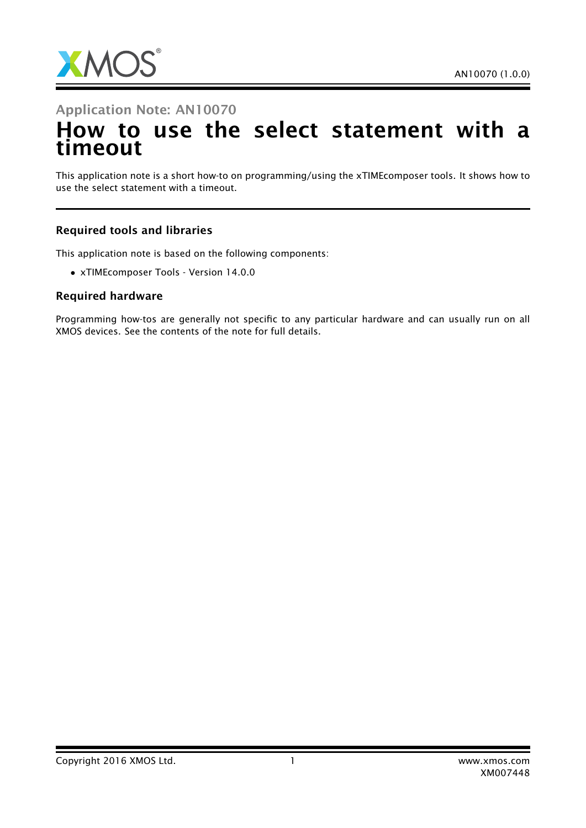

## Application Note: AN10070 How to use the select statement with a timeout

This application note is a short how-to on programming/using the xTIMEcomposer tools. It shows how to use the select statement with a timeout.

## Required tools and libraries

This application note is based on the following components:

• xTIMEcomposer Tools - Version 14.0.0

## Required hardware

Programming how-tos are generally not specific to any particular hardware and can usually run on all XMOS devices. See the contents of the note for full details.